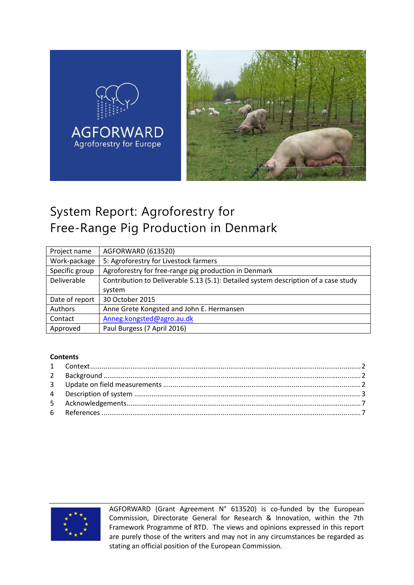

# System Report: Agroforestry for Free-Range Pig Production in Denmark

| Project name   | AGFORWARD (613520)                                                                  |
|----------------|-------------------------------------------------------------------------------------|
| Work-package   | 5: Agroforestry for Livestock farmers                                               |
| Specific group | Agroforestry for free-range pig production in Denmark                               |
| Deliverable    | Contribution to Deliverable 5.13 (5.1): Detailed system description of a case study |
|                | system                                                                              |
| Date of report | 30 October 2015                                                                     |
| Authors        | Anne Grete Kongsted and John E. Hermansen                                           |
| Contact        | Anneg.kongsted@agro.au.dk                                                           |
| Approved       | Paul Burgess (7 April 2016)                                                         |

#### **Contents**



AGFORWARD (Grant Agreement N° 613520) is co-funded by the European Commission, Directorate General for Research & Innovation, within the 7th Framework Programme of RTD. The views and opinions expressed in this report are purely those of the writers and may not in any circumstances be regarded as stating an official position of the European Commission.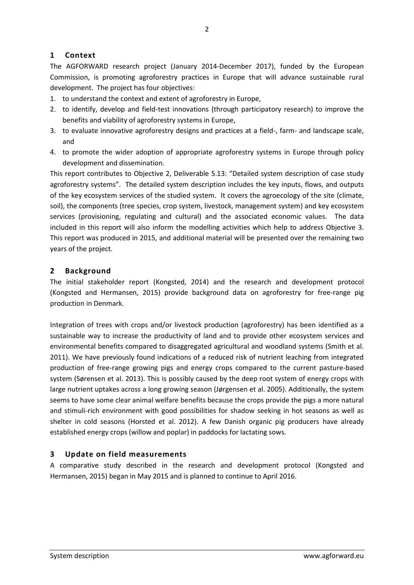## <span id="page-1-0"></span>**1 Context**

The AGFORWARD research project (January 2014-December 2017), funded by the European Commission, is promoting agroforestry practices in Europe that will advance sustainable rural development. The project has four objectives:

- 1. to understand the context and extent of agroforestry in Europe,
- 2. to identify, develop and field-test innovations (through participatory research) to improve the benefits and viability of agroforestry systems in Europe,
- 3. to evaluate innovative agroforestry designs and practices at a field-, farm- and landscape scale, and
- 4. to promote the wider adoption of appropriate agroforestry systems in Europe through policy development and dissemination.

This report contributes to Objective 2, Deliverable 5.13: "Detailed system description of case study agroforestry systems". The detailed system description includes the key inputs, flows, and outputs of the key ecosystem services of the studied system. It covers the agroecology of the site (climate, soil), the components (tree species, crop system, livestock, management system) and key ecosystem services (provisioning, regulating and cultural) and the associated economic values. The data included in this report will also inform the modelling activities which help to address Objective 3. This report was produced in 2015, and additional material will be presented over the remaining two years of the project.

#### <span id="page-1-1"></span>**2 Background**

The initial stakeholder report (Kongsted, 2014) and the research and development protocol (Kongsted and Hermansen, 2015) provide background data on agroforestry for free-range pig production in Denmark.

Integration of trees with crops and/or livestock production (agroforestry) has been identified as a sustainable way to increase the productivity of land and to provide other ecosystem services and environmental benefits compared to disaggregated agricultural and woodland systems (Smith et al. 2011). We have previously found indications of a reduced risk of nutrient leaching from integrated production of free-range growing pigs and energy crops compared to the current pasture-based system (Sørensen et al. 2013). This is possibly caused by the deep root system of energy crops with large nutrient uptakes across a long growing season (Jørgensen et al. 2005). Additionally, the system seems to have some clear animal welfare benefits because the crops provide the pigs a more natural and stimuli-rich environment with good possibilities for shadow seeking in hot seasons as well as shelter in cold seasons (Horsted et al. 2012). A few Danish organic pig producers have already established energy crops (willow and poplar) in paddocks for lactating sows.

## <span id="page-1-2"></span>**3 Update on field measurements**

A comparative study described in the research and development protocol (Kongsted and Hermansen, 2015) began in May 2015 and is planned to continue to April 2016.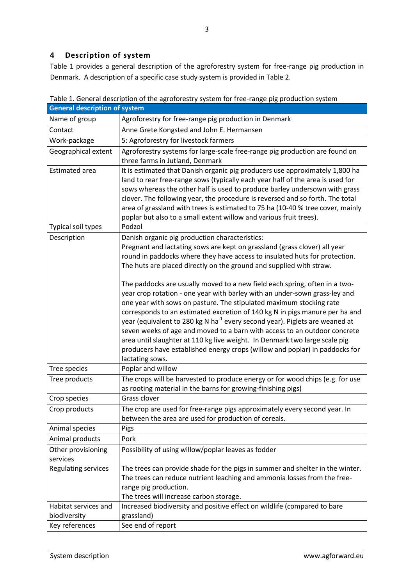# <span id="page-2-0"></span>**4 Description of system**

[Table 1](#page-2-1) provides a general description of the agroforestry system for free-range pig production in Denmark. A description of a specific case study system is provided in Table 2.

|                       | <b>General description of system</b>                                                                                                                                 |  |  |
|-----------------------|----------------------------------------------------------------------------------------------------------------------------------------------------------------------|--|--|
| Name of group         | Agroforestry for free-range pig production in Denmark                                                                                                                |  |  |
| Contact               | Anne Grete Kongsted and John E. Hermansen                                                                                                                            |  |  |
| Work-package          | 5: Agroforestry for livestock farmers                                                                                                                                |  |  |
| Geographical extent   | Agroforestry systems for large-scale free-range pig production are found on<br>three farms in Jutland, Denmark                                                       |  |  |
| <b>Estimated area</b> | It is estimated that Danish organic pig producers use approximately 1,800 ha                                                                                         |  |  |
|                       | land to rear free-range sows (typically each year half of the area is used for<br>sows whereas the other half is used to produce barley undersown with grass         |  |  |
|                       | clover. The following year, the procedure is reversed and so forth. The total<br>area of grassland with trees is estimated to 75 ha (10-40 % tree cover, mainly      |  |  |
|                       | poplar but also to a small extent willow and various fruit trees).                                                                                                   |  |  |
| Typical soil types    | Podzol                                                                                                                                                               |  |  |
| Description           | Danish organic pig production characteristics:                                                                                                                       |  |  |
|                       | Pregnant and lactating sows are kept on grassland (grass clover) all year                                                                                            |  |  |
|                       | round in paddocks where they have access to insulated huts for protection.<br>The huts are placed directly on the ground and supplied with straw.                    |  |  |
|                       | The paddocks are usually moved to a new field each spring, often in a two-<br>year crop rotation - one year with barley with an under-sown grass-ley and             |  |  |
|                       | one year with sows on pasture. The stipulated maximum stocking rate<br>corresponds to an estimated excretion of 140 kg N in pigs manure per ha and                   |  |  |
|                       | year (equivalent to 280 kg N ha <sup>-1</sup> every second year). Piglets are weaned at<br>seven weeks of age and moved to a barn with access to an outdoor concrete |  |  |
|                       | area until slaughter at 110 kg live weight. In Denmark two large scale pig                                                                                           |  |  |
|                       | producers have established energy crops (willow and poplar) in paddocks for<br>lactating sows.                                                                       |  |  |
| Tree species          | Poplar and willow                                                                                                                                                    |  |  |
| Tree products         | The crops will be harvested to produce energy or for wood chips (e.g. for use<br>as rooting material in the barns for growing-finishing pigs)                        |  |  |
| Crop species          | Grass clover                                                                                                                                                         |  |  |
| Crop products         | The crop are used for free-range pigs approximately every second year. In                                                                                            |  |  |
|                       | between the area are used for production of cereals.                                                                                                                 |  |  |
| Animal species        | Pigs                                                                                                                                                                 |  |  |
| Animal products       | Pork                                                                                                                                                                 |  |  |
| Other provisioning    | Possibility of using willow/poplar leaves as fodder                                                                                                                  |  |  |
| services              |                                                                                                                                                                      |  |  |
| Regulating services   | The trees can provide shade for the pigs in summer and shelter in the winter.                                                                                        |  |  |
|                       | The trees can reduce nutrient leaching and ammonia losses from the free-                                                                                             |  |  |
|                       | range pig production.                                                                                                                                                |  |  |
|                       | The trees will increase carbon storage.                                                                                                                              |  |  |
| Habitat services and  | Increased biodiversity and positive effect on wildlife (compared to bare                                                                                             |  |  |
| biodiversity          | grassland)                                                                                                                                                           |  |  |
| Key references        | See end of report                                                                                                                                                    |  |  |

<span id="page-2-1"></span>Table 1. General description of the agroforestry system for free-range pig production system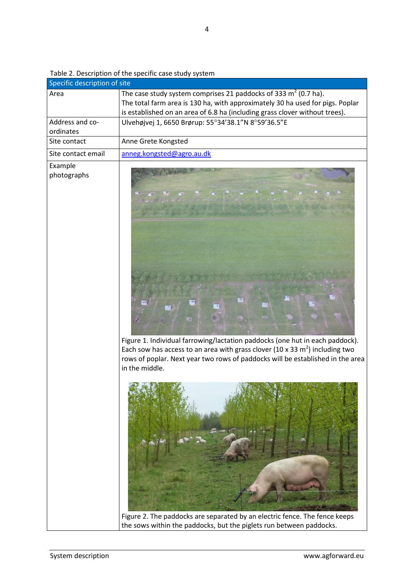| Table 2. Description of the specific case study system |  |  |
|--------------------------------------------------------|--|--|
|--------------------------------------------------------|--|--|

| Specific description of site |                                                                                                                                                                                                                                                                    |
|------------------------------|--------------------------------------------------------------------------------------------------------------------------------------------------------------------------------------------------------------------------------------------------------------------|
| Area                         | The case study system comprises 21 paddocks of 333 $m^2$ (0.7 ha).<br>The total farm area is 130 ha, with approximately 30 ha used for pigs. Poplar<br>is established on an area of 6.8 ha (including grass clover without trees).                                 |
| Address and co-<br>ordinates | Ulvehøjvej 1, 6650 Brørup: 55°34'38.1"N 8°59'36.5"E                                                                                                                                                                                                                |
| Site contact                 | Anne Grete Kongsted                                                                                                                                                                                                                                                |
| Site contact email           | anneg.kongsted@agro.au.dk                                                                                                                                                                                                                                          |
| Example<br>photographs       | Figure 1. Individual farrowing/lactation paddocks (one hut in each paddock).<br>Each sow has access to an area with grass clover (10 x 33 $m2$ ) including two<br>rows of poplar. Next year two rows of paddocks will be established in the area<br>in the middle. |
|                              | Figure 2. The paddocks are separated by an electric fence. The fence keeps<br>the sows within the paddocks, but the piglets run between paddocks.                                                                                                                  |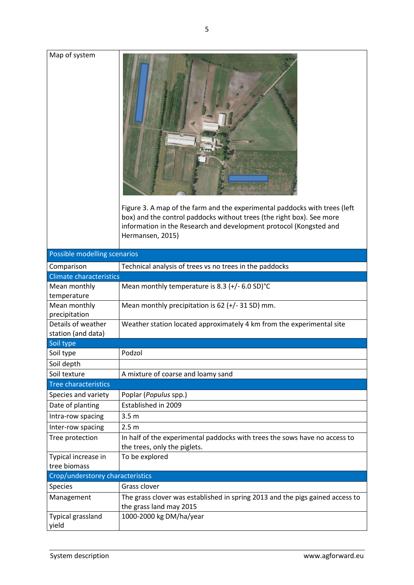| Map of system                       | Figure 3. A map of the farm and the experimental paddocks with trees (left<br>box) and the control paddocks without trees (the right box). See more<br>information in the Research and development protocol (Kongsted and<br>Hermansen, 2015) |
|-------------------------------------|-----------------------------------------------------------------------------------------------------------------------------------------------------------------------------------------------------------------------------------------------|
| Possible modelling scenarios        |                                                                                                                                                                                                                                               |
| Comparison                          | Technical analysis of trees vs no trees in the paddocks                                                                                                                                                                                       |
| <b>Climate characteristics</b>      |                                                                                                                                                                                                                                               |
| Mean monthly                        | Mean monthly temperature is 8.3 $(+/- 6.0$ SD $)$ °C                                                                                                                                                                                          |
| temperature                         |                                                                                                                                                                                                                                               |
| Mean monthly                        | Mean monthly precipitation is $62 (+/- 31 SD)$ mm.                                                                                                                                                                                            |
| precipitation                       |                                                                                                                                                                                                                                               |
| Details of weather                  | Weather station located approximately 4 km from the experimental site                                                                                                                                                                         |
| station (and data)                  |                                                                                                                                                                                                                                               |
| Soil type                           |                                                                                                                                                                                                                                               |
| Soil type                           | Podzol                                                                                                                                                                                                                                        |
| Soil depth                          |                                                                                                                                                                                                                                               |
| Soil texture                        | A mixture of coarse and loamy sand                                                                                                                                                                                                            |
| <b>Tree characteristics</b>         |                                                                                                                                                                                                                                               |
| Species and variety                 | Poplar (Populus spp.)                                                                                                                                                                                                                         |
| Date of planting                    | Established in 2009                                                                                                                                                                                                                           |
| Intra-row spacing                   | 3.5 <sub>m</sub>                                                                                                                                                                                                                              |
| Inter-row spacing                   | 2.5 <sub>m</sub>                                                                                                                                                                                                                              |
| Tree protection                     | In half of the experimental paddocks with trees the sows have no access to                                                                                                                                                                    |
|                                     | the trees, only the piglets.                                                                                                                                                                                                                  |
| Typical increase in<br>tree biomass | To be explored                                                                                                                                                                                                                                |
| Crop/understorey characteristics    |                                                                                                                                                                                                                                               |
| Species                             | Grass clover                                                                                                                                                                                                                                  |
|                                     |                                                                                                                                                                                                                                               |
| Management                          | The grass clover was established in spring 2013 and the pigs gained access to<br>the grass land may 2015                                                                                                                                      |
| Typical grassland                   | 1000-2000 kg DM/ha/year                                                                                                                                                                                                                       |
| yield                               |                                                                                                                                                                                                                                               |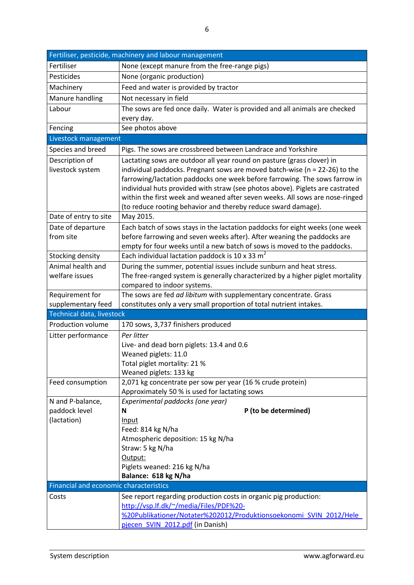| Fertiliser, pesticide, machinery and labour management |                                                                                |  |
|--------------------------------------------------------|--------------------------------------------------------------------------------|--|
| Fertiliser                                             | None (except manure from the free-range pigs)                                  |  |
| Pesticides                                             | None (organic production)                                                      |  |
| Machinery                                              | Feed and water is provided by tractor                                          |  |
| Manure handling                                        | Not necessary in field                                                         |  |
| Labour                                                 | The sows are fed once daily. Water is provided and all animals are checked     |  |
|                                                        | every day.                                                                     |  |
| Fencing                                                | See photos above                                                               |  |
| Livestock management                                   |                                                                                |  |
| Species and breed                                      | Pigs. The sows are crossbreed between Landrace and Yorkshire                   |  |
| Description of                                         | Lactating sows are outdoor all year round on pasture (grass clover) in         |  |
| livestock system                                       | individual paddocks. Pregnant sows are moved batch-wise ( $n = 22-26$ ) to the |  |
|                                                        | farrowing/lactation paddocks one week before farrowing. The sows farrow in     |  |
|                                                        | individual huts provided with straw (see photos above). Piglets are castrated  |  |
|                                                        | within the first week and weaned after seven weeks. All sows are nose-ringed   |  |
|                                                        | (to reduce rooting behavior and thereby reduce sward damage).                  |  |
| Date of entry to site                                  | May 2015.                                                                      |  |
| Date of departure                                      | Each batch of sows stays in the lactation paddocks for eight weeks (one week   |  |
| from site                                              | before farrowing and seven weeks after). After weaning the paddocks are        |  |
|                                                        | empty for four weeks until a new batch of sows is moved to the paddocks.       |  |
| Stocking density                                       | Each individual lactation paddock is 10 x 33 $m2$                              |  |
| Animal health and                                      | During the summer, potential issues include sunburn and heat stress.           |  |
| welfare issues                                         | The free-ranged system is generally characterized by a higher piglet mortality |  |
|                                                        | compared to indoor systems.                                                    |  |
| Requirement for                                        | The sows are fed ad libitum with supplementary concentrate. Grass              |  |
| supplementary feed<br>Technical data, livestock        | constitutes only a very small proportion of total nutrient intakes.            |  |
| Production volume                                      |                                                                                |  |
|                                                        | 170 sows, 3,737 finishers produced                                             |  |
| Litter performance                                     | Per litter                                                                     |  |
|                                                        | Live- and dead born piglets: 13.4 and 0.6<br>Weaned piglets: 11.0              |  |
|                                                        | Total piglet mortality: 21 %                                                   |  |
|                                                        | Weaned piglets: 133 kg                                                         |  |
| Feed consumption                                       | 2,071 kg concentrate per sow per year (16 % crude protein)                     |  |
|                                                        | Approximately 50 % is used for lactating sows                                  |  |
| N and P-balance,                                       | Experimental paddocks (one year)                                               |  |
| paddock level                                          | P (to be determined)<br>N                                                      |  |
| (lactation)                                            | Input                                                                          |  |
|                                                        | Feed: 814 kg N/ha                                                              |  |
|                                                        | Atmospheric deposition: 15 kg N/ha                                             |  |
|                                                        | Straw: 5 kg N/ha                                                               |  |
|                                                        | Output:                                                                        |  |
|                                                        | Piglets weaned: 216 kg N/ha                                                    |  |
|                                                        | Balance: 618 kg N/ha                                                           |  |
| Financial and economic characteristics                 |                                                                                |  |
| Costs                                                  | See report regarding production costs in organic pig production:               |  |
|                                                        | http://vsp.lf.dk/~/media/Files/PDF%20-                                         |  |
|                                                        | %20Publikationer/Notater%202012/Produktionsoekonomi_SVIN_2012/Hele             |  |
|                                                        | pjecen SVIN 2012.pdf (in Danish)                                               |  |